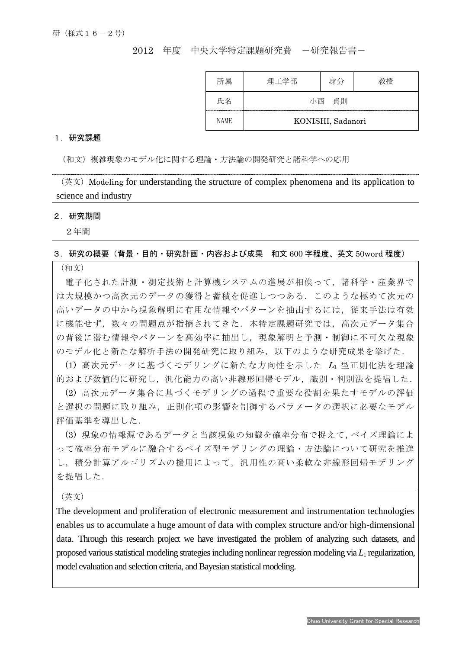2012 年度 中央大学特定課題研究費 一研究報告書ー

| 所属          | 理工学部              | 身分 | 教授 |
|-------------|-------------------|----|----|
| 氏名          | 小西 貞則             |    |    |
| <b>NAME</b> | KONISHI, Sadanori |    |    |

## 1.研究課題

(和文)複雑現象のモデル化に関する理論・方法論の開発研究と諸科学への応用

(英文)Modeling for understanding the structure of complex phenomena and its application to science and industry

## 2.研究期間

 $\overline{a}$ 

2年間

## 3.研究の概要(背景・目的・研究計画・内容および成果 和文 600 字程度、英文 50word 程度)

(和文)

電子化された計測・測定技術と計算機システムの進展が相俟って,諸科学・産業界で は大規模かつ高次元のデータの獲得と蓄積を促進しつつある.このような極めて次元の 高いデータの中から現象解明に有用な情報やパターンを抽出するには,従来手法は有効 に機能せず,数々の問題点が指摘されてきた.本特定課題研究では,高次元データ集合 の背後に潜む情報やパターンを高効率に抽出し,現象解明と予測・制御に不可欠な現象 のモデル化と新たな解析手法の開発研究に取り組み,以下のような研究成果を挙げた.

(1) 高次元データに基づくモデリングに新たな方向性を示した L1 型正則化法を理論 的および数値的に研究し、汎化能力の高い非線形回帰モデル,識別·判別法を提唱した.

(2) 高次元データ集合に基づくモデリングの過程で重要な役割を果たすモデルの評価 と選択の問題に取り組み,正則化項の影響を制御するパラメータの選択に必要なモデル 評価基準を導出した.

(3) 現象の情報源であるデータと当該現象の知識を確率分布で捉えて,ベイズ理論によ って確率分布モデルに融合するベイズ型モデリングの理論・方法論について研究を推進 し,積分計算アルゴリズムの援用によって,汎用性の高い柔軟な非線形回帰モデリング を提唱した.

(英文)

The development and proliferation of electronic measurement and instrumentation technologies enables us to accumulate a huge amount of data with complex structure and/or high-dimensional data. Through this research project we have investigated the problem of analyzing such datasets, and proposed various statistical modeling strategies including nonlinear regression modeling via *L*<sup>1</sup> regularization, model evaluation and selection criteria, and Bayesian statistical modeling.